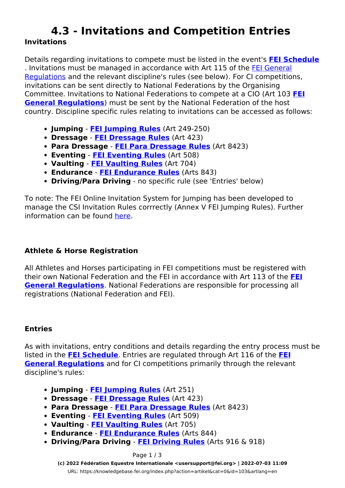# **4.3 - Invitations and Competition Entries Invitations**

Details regarding invitations to compete must be listed in the event's **[FEI Schedule](https://knowledgebase.fei.org/index.php?action=artikel&cat=112&id=98&artlang=en)** . Invitations must be managed in accordance with Art 115 of the [FEI General](https://inside.fei.org/fei/regulations/general-rules) [Regulations](https://inside.fei.org/fei/regulations/general-rules) and the relevant discipline's rules (see below). For CI competitions, invitations can be sent directly to National Federations by the Organising Committee. Invitations to National Federations to compete at a CIO (Art 103 **[FEI](https://inside.fei.org/fei/regulations/general-rules) [General Regulations](https://inside.fei.org/fei/regulations/general-rules)**) must be sent by the National Federation of the host country. Discipline specific rules relating to invitations can be accessed as follows:

- **Jumping [FEI Jumping Rules](https://inside.fei.org/fei/regulations/jumping)** (Art 249-250)
- **Dressage [FEI Dressage Rules](https://inside.fei.org/fei/regulations/dressage)** (Art 423)
- **Para Dressage [FEI Para Dressage Rules](https://inside.fei.org/fei/disc/para-dressage/rules)** (Art 8423)
- **Eventing [FEI Eventing Rules](https://inside.fei.org/fei/regulations/eventing)** (Art 508)
- **Vaulting [FEI Vaulting Rules](https://inside.fei.org/fei/regulations/vaulting)** (Art 704)
- **Endurance [FEI Endurance Rules](https://inside.fei.org/fei/regulations/endurance)** (Arts 843)
- **Driving/Para Driving** no specific rule (see 'Entries' below)

To note: The FEI Online Invitation System for Jumping has been developed to manage the CSI Invitation Rules corrrectly (Annex V FEI Jumping Rules). Further information can be found [here.](https://inside.fei.org/fei/your-role/it-services/it-platforms)

## **Athlete & Horse Registration**

All Athletes and Horses participating in FEI competitions must be registered with their own National Federation and the FEI in accordance with Art 113 of the **[FEI](https://inside.fei.org/fei/regulations/general-rules) [General Regulations](https://inside.fei.org/fei/regulations/general-rules)**. National Federations are responsible for processing all registrations (National Federation and FEI).

## **Entries**

As with invitations, entry conditions and details regarding the entry process must be listed in the **[FEI Schedule](https://knowledgebase.fei.org/index.php?action=artikel&cat=112&id=98&artlang=en)**. Entries are regulated through Art 116 of the **[FEI](https://inside.fei.org/fei/regulations/general-rules) [General Regulations](https://inside.fei.org/fei/regulations/general-rules)** and for CI competitions primarily through the relevant discipline's rules:

- **Jumping [FEI Jumping Rules](https://inside.fei.org/fei/regulations/jumping)** (Art 251)
- **Dressage [FEI Dressage Rules](https://inside.fei.org/fei/regulations/dressage)** (Art 423)
- **Para Dressage [FEI Para Dressage Rules](https://inside.fei.org/fei/disc/para-dressage/rules)** (Art 8423)
- **Eventing [FEI Eventing Rules](https://inside.fei.org/fei/regulations/eventing)** (Art 509)
- **Vaulting [FEI Vaulting Rules](https://inside.fei.org/fei/regulations/vaulting)** (Art 705)
- **Endurance [FEI Endurance Rules](https://inside.fei.org/fei/regulations/endurance)** (Arts 844)
- **Driving/Para Driving [FEI Driving Rules](https://inside.fei.org/fei/regulations/driving)** (Arts 916 & 918)

#### Page 1 / 3

**(c) 2022 Fédération Equestre Internationale <usersupport@fei.org> | 2022-07-03 11:09** [URL: https://knowledgebase.fei.org/index.php?action=artikel&cat=0&id=103&artlang=en](https://knowledgebase.fei.org/index.php?action=artikel&cat=0&id=103&artlang=en)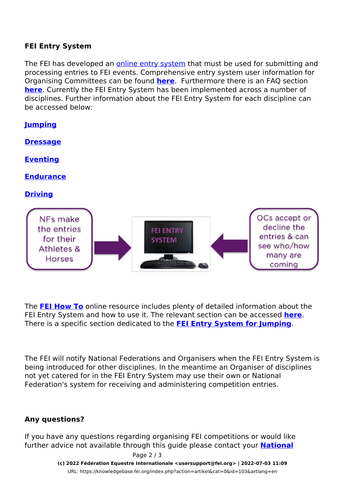## **FEI Entry System**

The FEI has developed an [online entry system](https://inside.fei.org/fei/your-role/it-services/fei-entry-system) that must be used for submitting and processing entries to FEI events. Comprehensive entry system user information for Organising Committees can be found **[here](https://inside.fei.org/fei/your-role/it-services/fei-entry-system/fei-entry-system-organising-committees)**. Furthermore there is an FAQ section **[here](https://inside.fei.org/fei/your-role/it-services/fei-entry-system/entry-system-faq)**. Currently the FEI Entry System has been implemented across a number of disciplines. Further information about the FEI Entry System for each discipline can be accessed below:

| <b>Jumping</b>                                                                 |                                   |                                                                                    |
|--------------------------------------------------------------------------------|-----------------------------------|------------------------------------------------------------------------------------|
| <b>Dressage</b>                                                                |                                   |                                                                                    |
| <b>Eventing</b>                                                                |                                   |                                                                                    |
| <b>Endurance</b>                                                               |                                   |                                                                                    |
| <b>Driving</b>                                                                 |                                   |                                                                                    |
| NFs make<br>the entries<br>for their<br><b>Athletes &amp;</b><br><b>Horses</b> | <b>FEI ENTRY</b><br><b>SYSTEM</b> | OCs accept or<br>decline the<br>entries & can<br>see who/how<br>many are<br>coming |

The **[FEI How To](https://howto.fei.org/index.html)** online resource includes plenty of detailed information about the FEI Entry System and how to use it. The relevant section can be accessed **[here](https://howto.fei.org/category/33/fei-entry-system-_-general.html)**. There is a specific section dedicated to the **[FEI Entry System for Jumping](https://howto.fei.org/category/32/fei-entry-system-for-jumping.html)**.

The FEI will notify National Federations and Organisers when the FEI Entry System is being introduced for other disciplines. In the meantime an Organiser of disciplines not yet catered for in the FEI Entry System may use their own or National Federation's system for receiving and administering competition entries.

## **Any questions?**

If you have any questions regarding organising FEI competitions or would like further advice not available through this guide please contact your **[National](https://data.fei.org/NFPages/NF/Search)**

Page 2 / 3

**(c) 2022 Fédération Equestre Internationale <usersupport@fei.org> | 2022-07-03 11:09** [URL: https://knowledgebase.fei.org/index.php?action=artikel&cat=0&id=103&artlang=en](https://knowledgebase.fei.org/index.php?action=artikel&cat=0&id=103&artlang=en)